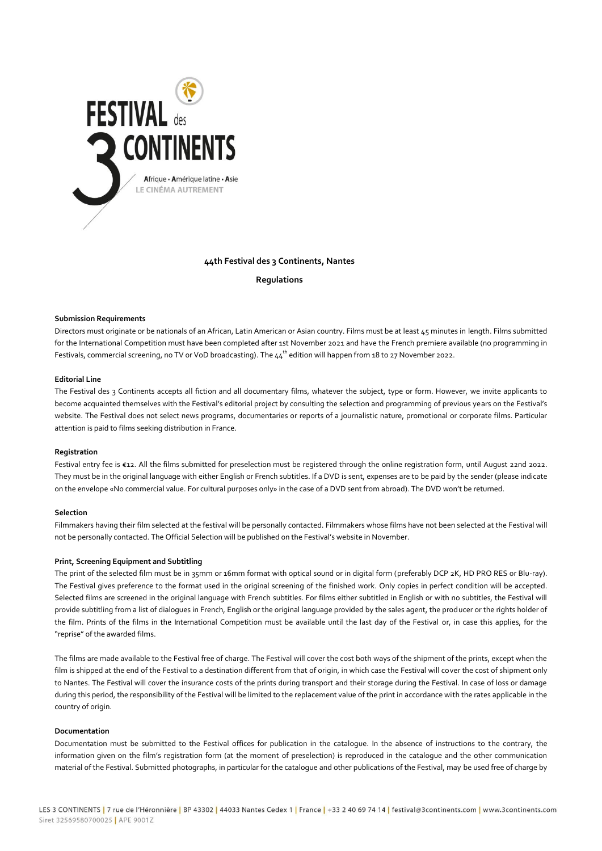

# **44th Festival des 3 Continents, Nantes**

**Regulations**

### **Submission Requirements**

Directors must originate or be nationals of an African, Latin American or Asian country. Films must be at least 45 minutes in length. Films submitted for the International Competition must have been completed after 1st November 2021 and have the French premiere available (no programming in Festivals, commercial screening, no TV or VoD broadcasting). The 44<sup>th</sup> edition will happen from 18 to 27 November 2022.

## **Editorial Line**

The Festival des 3 Continents accepts all fiction and all documentary films, whatever the subject, type or form. However, we invite applicants to become acquainted themselves with the Festival's editorial project by consulting the selection and programming of previous years on the Festival's website. The Festival does not select news programs, documentaries or reports of a journalistic nature, promotional or corporate films. Particular attention is paid to films seeking distribution in France.

### **Registration**

Festival entry fee is €12. All the films submitted for preselection must be registered through the online registration form, until August 22nd 2022. They must be in the original language with either English or French subtitles. If a DVD is sent, expenses are to be paid by the sender (please indicate on the envelope «No commercial value. For cultural purposes only» in the case of a DVD sent from abroad). The DVD won't be returned.

### **Selection**

Filmmakers having their film selected at the festival will be personally contacted. Filmmakers whose films have not been selected at the Festival will not be personally contacted. The Official Selection will be published on the Festival's website in November.

#### **Print, Screening Equipment and Subtitling**

The print of the selected film must be in 35mm or 16mm format with optical sound or in digital form (preferably DCP 2K, HD PRO RES or Blu-ray). The Festival gives preference to the format used in the original screening of the finished work. Only copies in perfect condition will be accepted. Selected films are screened in the original language with French subtitles. For films either subtitled in English or with no subtitles, the Festival will provide subtitling from a list of dialogues in French, English or the original language provided by the sales agent, the producer or the rights holder of the film. Prints of the films in the International Competition must be available until the last day of the Festival or, in case this applies, for the "reprise" of the awarded films.

The films are made available to the Festival free of charge. The Festival will cover the cost both ways of the shipment of the prints, except when the film is shipped at the end of the Festival to a destination different from that of origin, in which case the Festival will cover the cost of shipment only to Nantes. The Festival will cover the insurance costs of the prints during transport and their storage during the Festival. In case of loss or damage during this period, the responsibility of the Festival will be limited to the replacement value of the print in accordance with the rates applicable in the country of origin.

### **Documentation**

Documentation must be submitted to the Festival offices for publication in the catalogue. In the absence of instructions to the contrary, the information given on the film's registration form (at the moment of preselection) is reproduced in the catalogue and the other communication material of the Festival. Submitted photographs, in particular for the catalogue and other publications of the Festival, may be used free of charge by